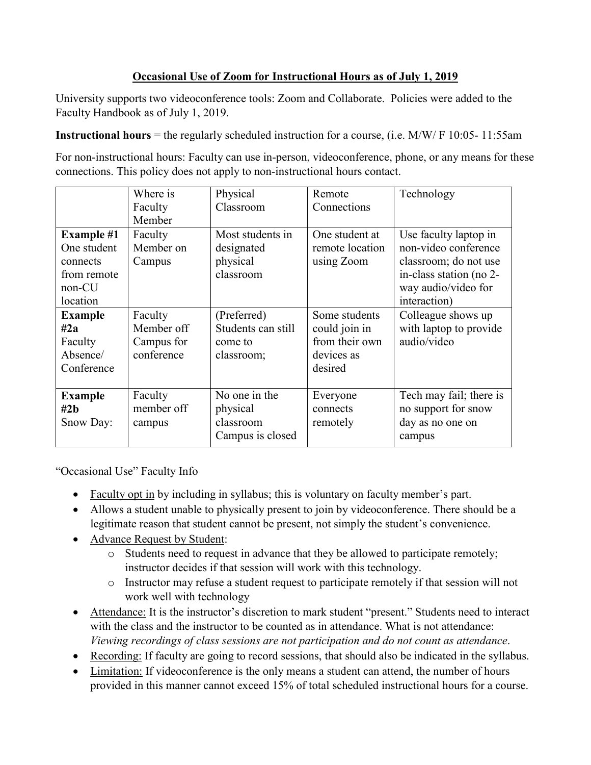# **Occasional Use of Zoom for Instructional Hours as of July 1, 2019**

University supports two videoconference tools: Zoom and Collaborate. Policies were added to the Faculty Handbook as of July 1, 2019.

**Instructional hours** = the regularly scheduled instruction for a course, (i.e. M/W/ F 10:05- 11:55am

For non-instructional hours: Faculty can use in-person, videoconference, phone, or any means for these connections. This policy does not apply to non-instructional hours contact.

|                                                                                      | Where is<br>Faculty<br>Member                     | Physical<br>Classroom                                      | Remote<br>Connections                                                     | Technology                                                                                                                               |
|--------------------------------------------------------------------------------------|---------------------------------------------------|------------------------------------------------------------|---------------------------------------------------------------------------|------------------------------------------------------------------------------------------------------------------------------------------|
| <b>Example #1</b><br>One student<br>connects<br>from remote<br>$non$ -CU<br>location | Faculty<br>Member on<br>Campus                    | Most students in<br>designated<br>physical<br>classroom    | One student at<br>remote location<br>using Zoom                           | Use faculty laptop in<br>non-video conference<br>classroom; do not use<br>in-class station (no 2-<br>way audio/video for<br>interaction) |
| <b>Example</b><br>#2a<br>Faculty<br>Absence/<br>Conference                           | Faculty<br>Member off<br>Campus for<br>conference | (Preferred)<br>Students can still<br>come to<br>classroom; | Some students<br>could join in<br>from their own<br>devices as<br>desired | Colleague shows up<br>with laptop to provide<br>audio/video                                                                              |
| <b>Example</b><br>#2 <sub>b</sub><br>Snow Day:                                       | Faculty<br>member off<br>campus                   | No one in the<br>physical<br>classroom<br>Campus is closed | Everyone<br>connects<br>remotely                                          | Tech may fail; there is<br>no support for snow<br>day as no one on<br>campus                                                             |

"Occasional Use" Faculty Info

- Faculty opt in by including in syllabus; this is voluntary on faculty member's part.
- Allows a student unable to physically present to join by videoconference. There should be a legitimate reason that student cannot be present, not simply the student's convenience.
- Advance Request by Student:
	- $\circ$  Students need to request in advance that they be allowed to participate remotely; instructor decides if that session will work with this technology.
	- o Instructor may refuse a student request to participate remotely if that session will not work well with technology
- Attendance: It is the instructor's discretion to mark student "present." Students need to interact with the class and the instructor to be counted as in attendance. What is not attendance: *Viewing recordings of class sessions are not participation and do not count as attendance*.
- Recording: If faculty are going to record sessions, that should also be indicated in the syllabus.
- Limitation: If videoconference is the only means a student can attend, the number of hours provided in this manner cannot exceed 15% of total scheduled instructional hours for a course.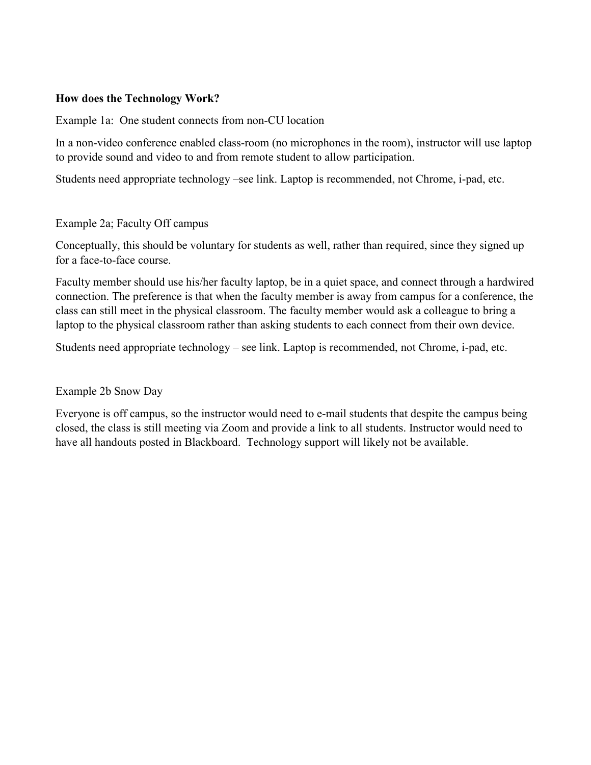### **How does the Technology Work?**

Example 1a: One student connects from non-CU location

In a non-video conference enabled class-room (no microphones in the room), instructor will use laptop to provide sound and video to and from remote student to allow participation.

Students need appropriate technology –see link. Laptop is recommended, not Chrome, i-pad, etc.

#### Example 2a; Faculty Off campus

Conceptually, this should be voluntary for students as well, rather than required, since they signed up for a face-to-face course.

Faculty member should use his/her faculty laptop, be in a quiet space, and connect through a hardwired connection. The preference is that when the faculty member is away from campus for a conference, the class can still meet in the physical classroom. The faculty member would ask a colleague to bring a laptop to the physical classroom rather than asking students to each connect from their own device.

Students need appropriate technology – see link. Laptop is recommended, not Chrome, i-pad, etc.

#### Example 2b Snow Day

Everyone is off campus, so the instructor would need to e-mail students that despite the campus being closed, the class is still meeting via Zoom and provide a link to all students. Instructor would need to have all handouts posted in Blackboard. Technology support will likely not be available.